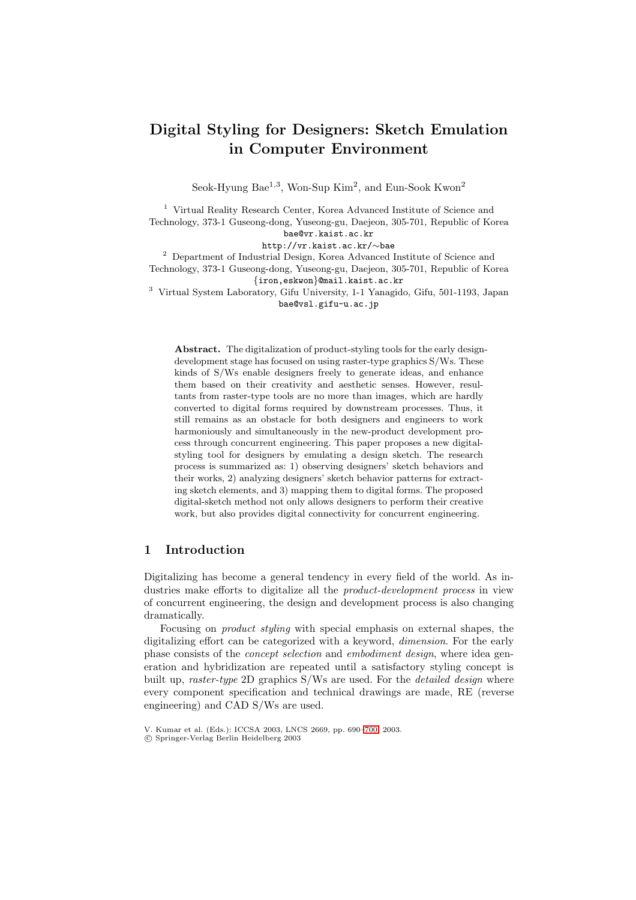# **Digital Styling for Designers: Sketch Emulation in Computer Environment**

Seok-Hyung Bae1*,*3, Won-Sup Kim2, and Eun-Sook Kwon<sup>2</sup>

 $^{\rm 1}$  Virtual Reality Research Center, Korea Advanced Institute of Science and Technology, 373-1 Guseong-dong, Yuseong-gu, Daejeon, 305-701, Republic of Korea

bae@vr.kaist.ac.kr<br>http://vr.kaist.ac.kr/ $\sim$ bae

<sup>2</sup> Department of Industrial Design, Korea Advanced Institute of Science and Technology, 373-1 Guseong-dong, Yuseong-gu, Daejeon, 305-701, Republic of Korea {iron,eskwon}@mail.kaist.ac.kr <sup>3</sup> Virtual System Laboratory, Gifu University, 1-1 Yanagido, Gifu, 501-1193, Japan

bae@vsl.gifu-u.ac.jp

**Abstract.** The digitalization of product-styling tools for the early designdevelopment stage has focused on using raster-type graphics S/Ws. These kinds of S/Ws enable designers freely to generate ideas, and enhance them based on their creativity and aesthetic senses. However, resultants from raster-type tools are no more than images, which are hardly converted to digital forms required by downstream processes. Thus, it still remains as an obstacle for both designers and engineers to work harmoniously and simultaneously in the new-product development process through concurrent engineering. This paper proposes a new digitalstyling tool for designers by emulating a design sketch. The research process is summarized as: 1) observing designers' sketch behaviors and their works, 2) analyzing designers' sketch behavior patterns for extracting sketch elements, and 3) mapping them to digital forms. The proposed digital-sketch method not only allows designers to perform their creative work, but also provides digital connectivity for concurrent engineering.

## **1 Introduction**

Digitalizing has become a general tendency in every field of the world. As industries make efforts to digitalize all the *product-development process* in view of concurrent engineering, the design and development process is also changing dramatically.

Focusing on *product styling* with special emphasis on external shapes, the digitalizing effort can be categorized with a keyword, *dimension*. For the early phase consists of the *concept selection* and *embodiment design*, where idea generation and hybridization are repeated until a satisfactory styling concept is built up, *raster-type* 2D graphics S/Ws are used. For the *detailed design* where every component specification and technical drawings are made, RE (reverse engineering) and CAD S/Ws are used.

c Springer-Verlag Berlin Heidelberg 2003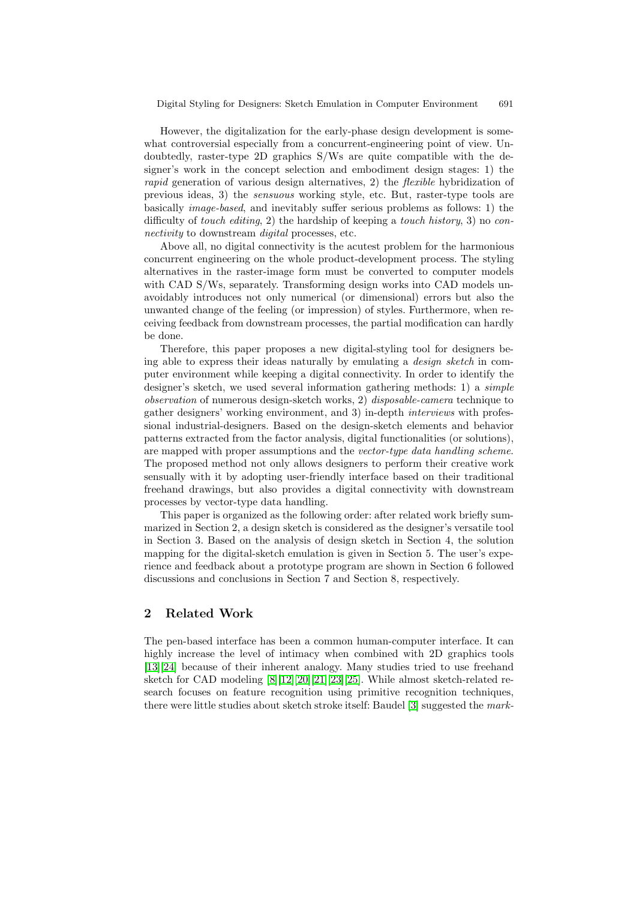However, the digitalization for the early-phase design development is somewhat controversial especially from a concurrent-engineering point of view. Undoubtedly, raster-type 2D graphics S/Ws are quite compatible with the designer's work in the concept selection and embodiment design stages: 1) the *rapid* generation of various design alternatives, 2) the *flexible* hybridization of previous ideas, 3) the *sensuous* working style, etc. But, raster-type tools are basically *image-based*, and inevitably suffer serious problems as follows: 1) the difficulty of *touch editing*, 2) the hardship of keeping a *touch history*, 3) no *connectivity* to downstream *digital* processes, etc.

Above all, no digital connectivity is the acutest problem for the harmonious concurrent engineering on the whole product-development process. The styling alternatives in the raster-image form must be converted to computer models with CAD S/Ws, separately. Transforming design works into CAD models unavoidably introduces not only numerical (or dimensional) errors but also the unwanted change of the feeling (or impression) of styles. Furthermore, when receiving feedback from downstream processes, the partial modification can hardly be done.

Therefore, this paper proposes a new digital-styling tool for designers being able to express their ideas naturally by emulating a *design sketch* in computer environment while keeping a digital connectivity. In order to identify the designer's sketch, we used several information gathering methods: 1) a *simple observation* of numerous design-sketch works, 2) *disposable-camera* technique to gather designers' working environment, and 3) in-depth *interviews* with professional industrial-designers. Based on the design-sketch elements and behavior patterns extracted from the factor analysis, digital functionalities (or solutions), are mapped with proper assumptions and the *vector-type data handling scheme*. The proposed method not only allows designers to perform their creative work sensually with it by adopting user-friendly interface based on their traditional freehand drawings, but also provides a digital connectivity with downstream processes by vector-type data handling.

This paper is organized as the following order: after related work briefly summarized in Section 2, a design sketch is considered as the designer's versatile tool in Section 3. Based on the analysis of design sketch in Section 4, the solution mapping for the digital-sketch emulation is given in Section 5. The user's experience and feedback about a prototype program are shown in Section 6 followed discussions and conclusions in Section 7 and Section 8, respectively.

## **2 Related Work**

The pen-based interface has been a common human-computer interface. It can highly increase the level of intimacy when combined with 2D graphics tools [\[13\]](#page-9-1)[\[24\]](#page-10-0) because of their inherent analogy. Many studies tried to use freehand sketch for CAD modeling [\[8\]](#page-9-2)[\[12\]](#page-9-3)[\[20\]](#page-9-4)[\[21\]](#page-9-5)[\[23\]](#page-10-1)[\[25\]](#page-10-2). While almost sketch-related research focuses on feature recognition using primitive recognition techniques, there were little studies about sketch stroke itself: Baudel [\[3\]](#page-9-6) suggested the *mark-*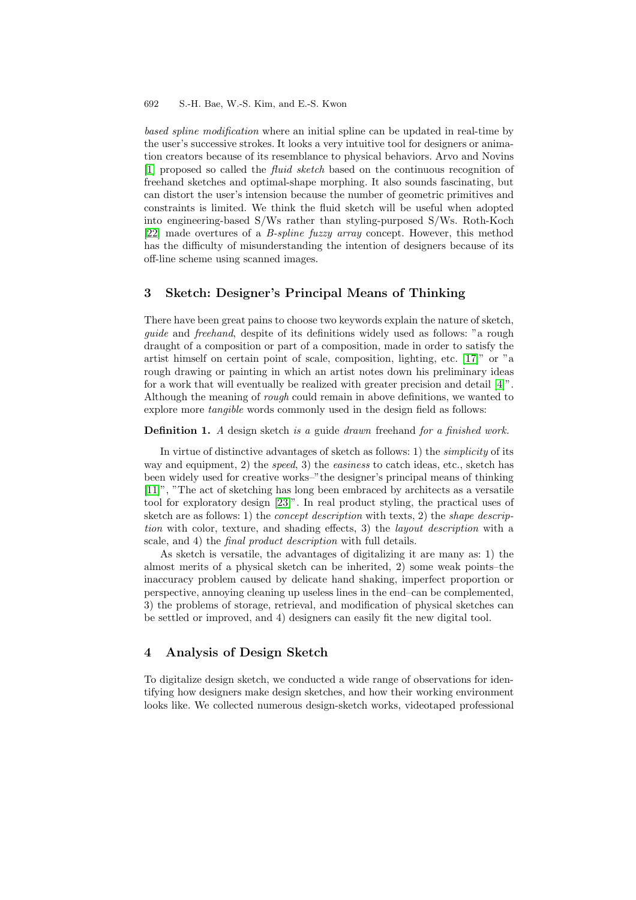*based spline modification* where an initial spline can be updated in real-time by the user's successive strokes. It looks a very intuitive tool for designers or animation creators because of its resemblance to physical behaviors. Arvo and Novins [\[1\]](#page-9-7) proposed so called the *fluid sketch* based on the continuous recognition of freehand sketches and optimal-shape morphing. It also sounds fascinating, but can distort the user's intension because the number of geometric primitives and constraints is limited. We think the fluid sketch will be useful when adopted into engineering-based S/Ws rather than styling-purposed S/Ws. Roth-Koch [\[22\]](#page-9-8) made overtures of a *B-spline fuzzy array* concept. However, this method has the difficulty of misunderstanding the intention of designers because of its off-line scheme using scanned images.

## **3 Sketch: Designer's Principal Means of Thinking**

There have been great pains to choose two keywords explain the nature of sketch, *guide* and *freehand*, despite of its definitions widely used as follows: "a rough draught of a composition or part of a composition, made in order to satisfy the artist himself on certain point of scale, composition, lighting, etc.  $[17]$ " or "a rough drawing or painting in which an artist notes down his preliminary ideas for a work that will eventually be realized with greater precision and detail [\[4\]](#page-9-10)". Although the meaning of *rough* could remain in above definitions, we wanted to explore more *tangible* words commonly used in the design field as follows:

**Definition 1.** *<sup>A</sup>* design sketch *is a* guide *drawn* freehand *for a finished work.*

In virtue of distinctive advantages of sketch as follows: 1) the *simplicity* of its way and equipment, 2) the *speed*, 3) the *easiness* to catch ideas, etc., sketch has been widely used for creative works–"the designer's principal means of thinking [\[11\]](#page-9-11)", "The act of sketching has long been embraced by architects as a versatile tool for exploratory design [\[23\]](#page-10-1)". In real product styling, the practical uses of sketch are as follows: 1) the *concept description* with texts, 2) the *shape description* with color, texture, and shading effects, 3) the *layout description* with a scale, and 4) the *final product description* with full details.

As sketch is versatile, the advantages of digitalizing it are many as: 1) the almost merits of a physical sketch can be inherited, 2) some weak points–the inaccuracy problem caused by delicate hand shaking, imperfect proportion or perspective, annoying cleaning up useless lines in the end–can be complemented, 3) the problems of storage, retrieval, and modification of physical sketches can be settled or improved, and 4) designers can easily fit the new digital tool.

## **4 Analysis of Design Sketch**

To digitalize design sketch, we conducted a wide range of observations for identifying how designers make design sketches, and how their working environment looks like. We collected numerous design-sketch works, videotaped professional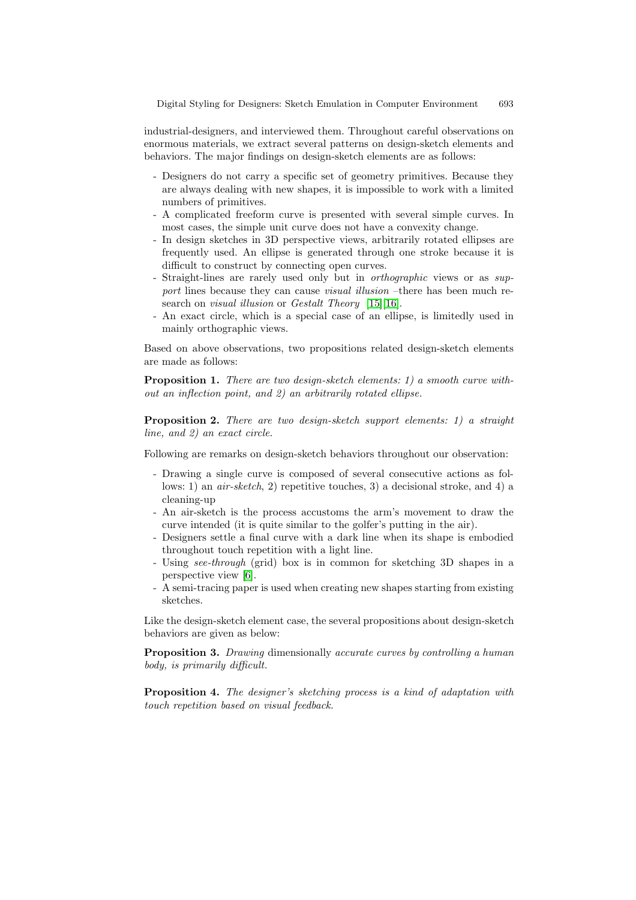industrial-designers, and interviewed them. Throughout careful observations on enormous materials, we extract several patterns on design-sketch elements and behaviors. The major findings on design-sketch elements are as follows:

- Designers do not carry a specific set of geometry primitives. Because they are always dealing with new shapes, it is impossible to work with a limited numbers of primitives.
- A complicated freeform curve is presented with several simple curves. In most cases, the simple unit curve does not have a convexity change.
- In design sketches in 3D perspective views, arbitrarily rotated ellipses are frequently used. An ellipse is generated through one stroke because it is difficult to construct by connecting open curves.
- Straight-lines are rarely used only but in *orthographic* views or as *support* lines because they can cause *visual illusion* –there has been much research on *visual illusion* or *Gestalt Theory* [\[15\]](#page-9-12)[\[16\]](#page-9-13).
- An exact circle, which is a special case of an ellipse, is limitedly used in mainly orthographic views.

Based on above observations, two propositions related design-sketch elements are made as follows:

**Proposition 1.** *There are two design-sketch elements: 1) a smooth curve without an inflection point, and 2) an arbitrarily rotated ellipse.*

**Proposition 2.** *There are two design-sketch support elements: 1) a straight line, and 2) an exact circle.*

Following are remarks on design-sketch behaviors throughout our observation:

- Drawing a single curve is composed of several consecutive actions as follows: 1) an *air-sketch*, 2) repetitive touches, 3) a decisional stroke, and 4) a cleaning-up
- An air-sketch is the process accustoms the arm's movement to draw the curve intended (it is quite similar to the golfer's putting in the air).
- Designers settle a final curve with a dark line when its shape is embodied throughout touch repetition with a light line.
- Using *see-through* (grid) box is in common for sketching 3D shapes in a perspective view [\[6\]](#page-9-14).
- A semi-tracing paper is used when creating new shapes starting from existing sketches.

Like the design-sketch element case, the several propositions about design-sketch behaviors are given as below:

**Proposition 3.** *Drawing* dimensionally *accurate curves by controlling a human body, is primarily difficult.*

**Proposition 4.** *The designer's sketching process is a kind of adaptation with touch repetition based on visual feedback.*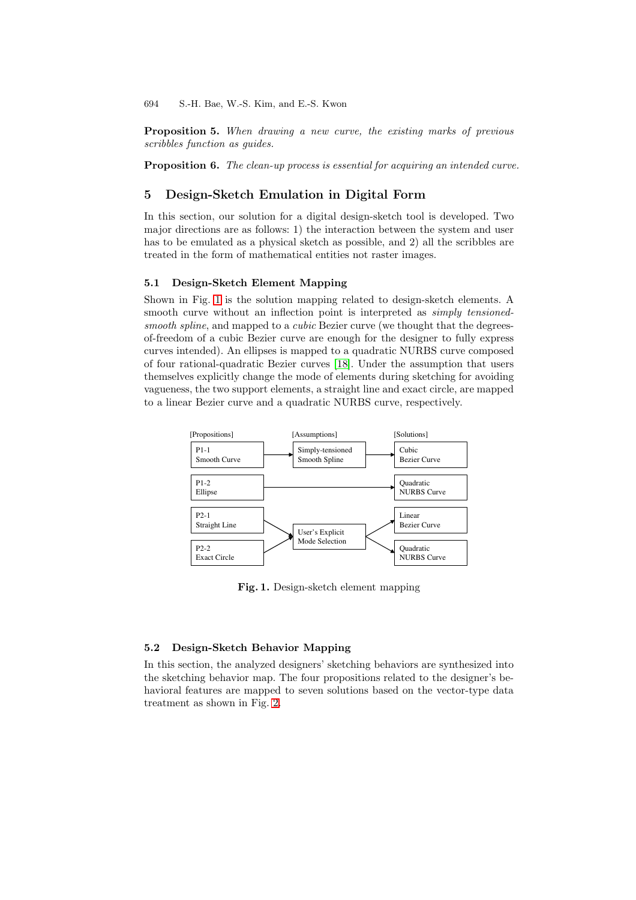**Proposition 5.** *When drawing a new curve, the existing marks of previous scribbles function as guides.*

**Proposition 6.** *The clean-up process is essential for acquiring an intended curve.*

# **5 Design-Sketch Emulation in Digital Form**

In this section, our solution for a digital design-sketch tool is developed. Two major directions are as follows: 1) the interaction between the system and user has to be emulated as a physical sketch as possible, and 2) all the scribbles are treated in the form of mathematical entities not raster images.

**5.1 Design-Sketch Element Mapping** Shown in Fig. [1](#page-4-0) is the solution mapping related to design-sketch elements. A smooth curve without an inflection point is interpreted as *simply tensionedsmooth spline*, and mapped to a *cubic* Bezier curve (we thought that the degreesof-freedom of a cubic Bezier curve are enough for the designer to fully express curves intended). An ellipses is mapped to a quadratic NURBS curve composed of four rational-quadratic Bezier curves [\[18\]](#page-9-15). Under the assumption that users themselves explicitly change the mode of elements during sketching for avoiding vagueness, the two support elements, a straight line and exact circle, are mapped to a linear Bezier curve and a quadratic NURBS curve, respectively.



<span id="page-4-0"></span>**Fig. 1.** Design-sketch element mapping

**5.2 Design-Sketch Behavior Mapping** In this section, the analyzed designers' sketching behaviors are synthesized into the sketching behavior map. The four propositions related to the designer's behavioral features are mapped to seven solutions based on the vector-type data treatment as shown in Fig. [2.](#page-5-0)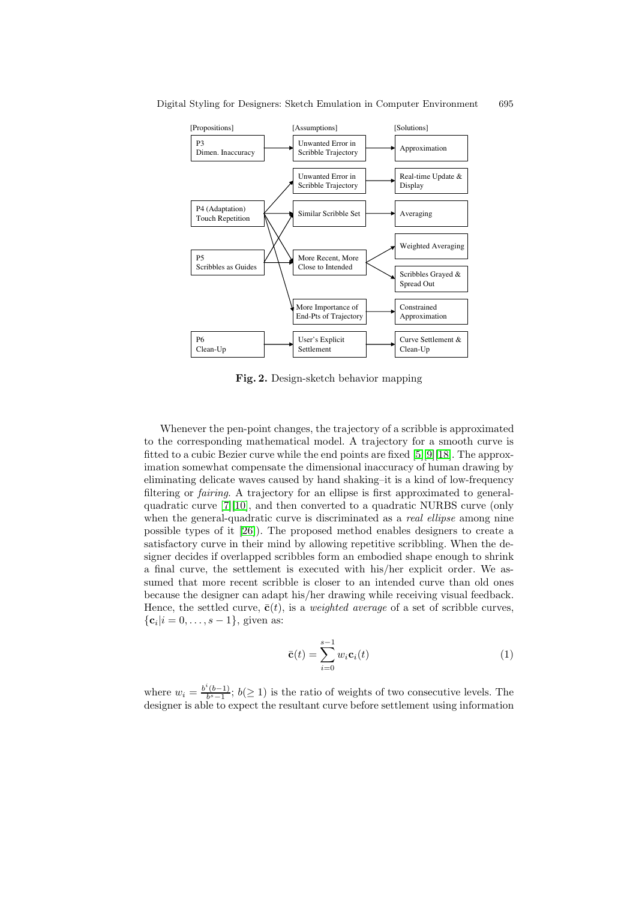

<span id="page-5-0"></span>**Fig. 2.** Design-sketch behavior mapping

Whenever the pen-point changes, the trajectory of a scribble is approximated to the corresponding mathematical model. A trajectory for a smooth curve is fitted to a cubic Bezier curve while the end points are fixed [\[5\]](#page-9-16)[\[9\]](#page-9-17)[\[18\]](#page-9-15). The approximation somewhat compensate the dimensional inaccuracy of human drawing by eliminating delicate waves caused by hand shaking–it is a kind of low-frequency filtering or *fairing*. A trajectory for an ellipse is first approximated to generalquadratic curve [\[7\]](#page-9-18)[\[10\]](#page-9-19), and then converted to a quadratic NURBS curve (only when the general-quadratic curve is discriminated as a *real ellipse* among nine possible types of it [\[26\]](#page-10-3)). The proposed method enables designers to create a satisfactory curve in their mind by allowing repetitive scribbling. When the designer decides if overlapped scribbles form an embodied shape enough to shrink a final curve, the settlement is executed with his/her explicit order. We assumed that more recent scribble is closer to an intended curve than old ones because the designer can adapt his/her drawing while receiving visual feedback. Hence, the settled curve,  $\bar{\mathbf{c}}(t)$ , is a *weighted average* of a set of scribble curves,  ${\bf c}_i|i=0,\ldots,s-1$ , given as:

$$
\bar{\mathbf{c}}(t) = \sum_{i=0}^{s-1} w_i \mathbf{c}_i(t)
$$
 (1)

where  $w_i = \frac{b^i(b-1)}{b^s-1}$ ;  $b(\geq 1)$  is the ratio of weights of two consecutive levels. The designer is able to expect the resultant curve before settlement using information designer is able to expect the resultant curve before settlement using information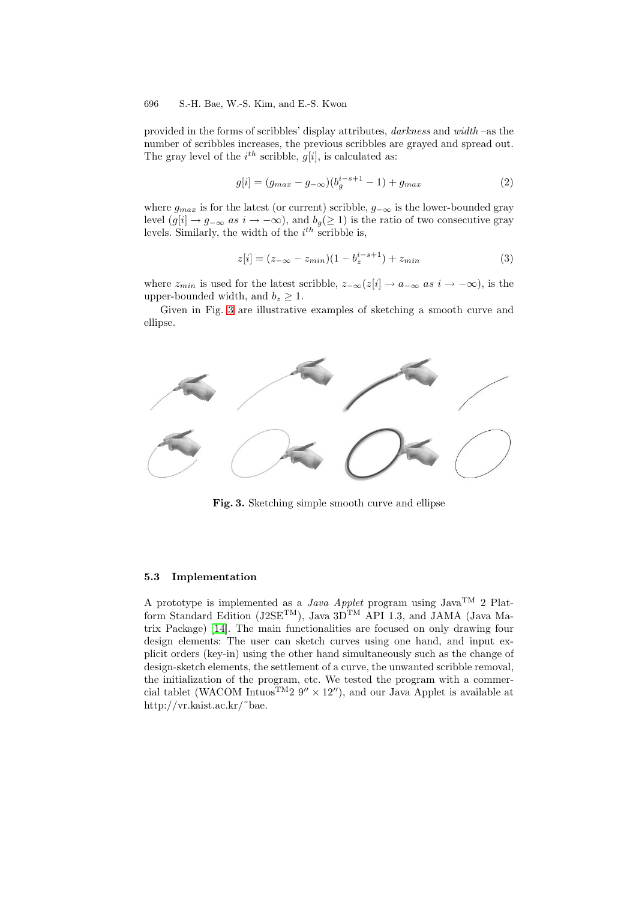provided in the forms of scribbles' display attributes, *darkness* and *width* –as the number of scribbles increases, the previous scribbles are grayed and spread out. The gray level of the  $i^{th}$  scribble,  $g[i]$ , is calculated as:

$$
g[i] = (g_{max} - g_{-\infty})(b_g^{i-s+1} - 1) + g_{max}
$$
\n(2)

where *<sup>g</sup>max* is for the latest (or current) scribble, *<sup>g</sup>*−∞ is the lower-bounded gray level  $(g[i] \rightarrow g_{-\infty}$  *as i* → −∞), and  $b_g(\geq 1)$  is the ratio of two consecutive gray levels. Similarly, the width of the  $i^{th}$  scribble is,

$$
z[i] = (z_{-\infty} - z_{min})(1 - b_z^{i-s+1}) + z_{min}
$$
\n(3)

where  $z_{min}$  is used for the latest scribble,  $z_{-\infty}(z[i] \to a_{-\infty}$  *as*  $i \to -\infty)$ , is the upper-bounded width, and  $b_z \geq 1$ .

Given in Fig. [3](#page-6-0) are illustrative examples of sketching a smooth curve and ellipse.



<span id="page-6-0"></span>**Fig. 3.** Sketching simple smooth curve and ellipse

# **5.3 Implementation**

A prototype is implemented as a *Java Applet* program using Java<sup>TM</sup> 2 Platform Standard Edition (J2SE<sup>TM</sup>), Java 3D<sup>TM</sup> API 1.3, and JAMA (Java Matrix Package) [\[14\]](#page-9-20). The main functionalities are focused on only drawing four design elements: The user can sketch curves using one hand, and input explicit orders (key-in) using the other hand simultaneously such as the change of design-sketch elements, the settlement of a curve, the unwanted scribble removal, the initialization of the program, etc. We tested the program with a commercial tablet (WACOM Intuos<sup>TM</sup>2  $9'' \times 12''$ ), and our Java Applet is available at http://vr.kaist.ac.kr/˜bae.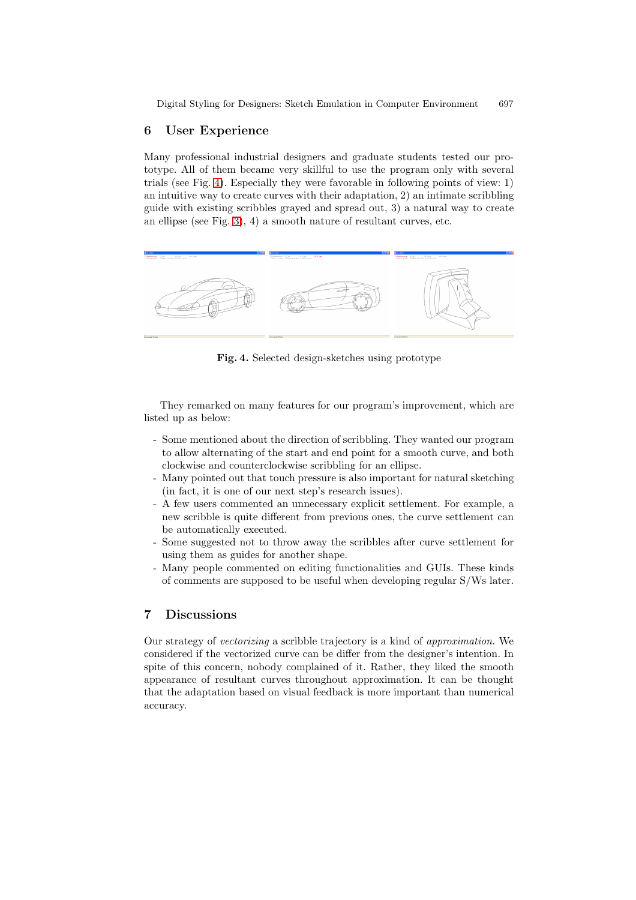# **6 User Experience**

Many professional industrial designers and graduate students tested our prototype. All of them became very skillful to use the program only with several trials (see Fig. [4\)](#page-7-0). Especially they were favorable in following points of view: 1) an intuitive way to create curves with their adaptation, 2) an intimate scribbling guide with existing scribbles grayed and spread out, 3) a natural way to create an ellipse (see Fig. [3\)](#page-6-0), 4) a smooth nature of resultant curves, etc.



**Fig. 4.** Selected design-sketches using prototype

<span id="page-7-0"></span>They remarked on many features for our program's improvement, which are listed up as below:

- Some mentioned about the direction of scribbling. They wanted our program to allow alternating of the start and end point for a smooth curve, and both clockwise and counterclockwise scribbling for an ellipse.
- Many pointed out that touch pressure is also important for natural sketching (in fact, it is one of our next step's research issues).
- A few users commented an unnecessary explicit settlement. For example, a new scribble is quite different from previous ones, the curve settlement can be automatically executed.
- Some suggested not to throw away the scribbles after curve settlement for using them as guides for another shape.
- Many people commented on editing functionalities and GUIs. These kinds of comments are supposed to be useful when developing regular S/Ws later.

# **7 Discussions**

Our strategy of *vectorizing* a scribble trajectory is a kind of *approximation*. We considered if the vectorized curve can be differ from the designer's intention. In spite of this concern, nobody complained of it. Rather, they liked the smooth appearance of resultant curves throughout approximation. It can be thought that the adaptation based on visual feedback is more important than numerical accuracy.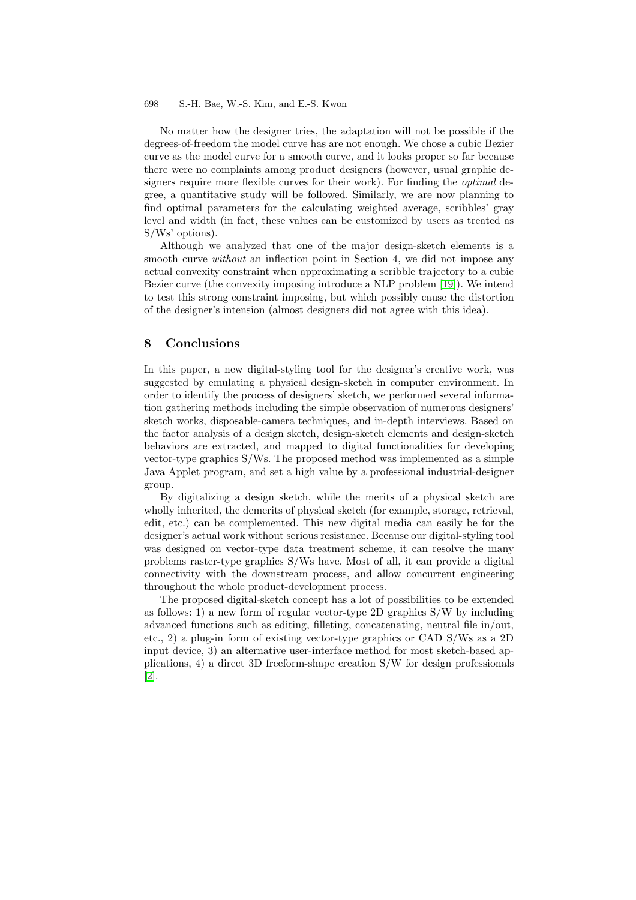No matter how the designer tries, the adaptation will not be possible if the degrees-of-freedom the model curve has are not enough. We chose a cubic Bezier curve as the model curve for a smooth curve, and it looks proper so far because there were no complaints among product designers (however, usual graphic designers require more flexible curves for their work). For finding the *optimal* degree, a quantitative study will be followed. Similarly, we are now planning to find optimal parameters for the calculating weighted average, scribbles' gray level and width (in fact, these values can be customized by users as treated as S/Ws' options).

Although we analyzed that one of the major design-sketch elements is a smooth curve *without* an inflection point in Section 4, we did not impose any actual convexity constraint when approximating a scribble trajectory to a cubic Bezier curve (the convexity imposing introduce a NLP problem [\[19\]](#page-9-21)). We intend to test this strong constraint imposing, but which possibly cause the distortion of the designer's intension (almost designers did not agree with this idea).

### **8 Conclusions**

In this paper, a new digital-styling tool for the designer's creative work, was suggested by emulating a physical design-sketch in computer environment. In order to identify the process of designers' sketch, we performed several information gathering methods including the simple observation of numerous designers' sketch works, disposable-camera techniques, and in-depth interviews. Based on the factor analysis of a design sketch, design-sketch elements and design-sketch behaviors are extracted, and mapped to digital functionalities for developing vector-type graphics S/Ws. The proposed method was implemented as a simple Java Applet program, and set a high value by a professional industrial-designer group.

By digitalizing a design sketch, while the merits of a physical sketch are wholly inherited, the demerits of physical sketch (for example, storage, retrieval, edit, etc.) can be complemented. This new digital media can easily be for the designer's actual work without serious resistance. Because our digital-styling tool was designed on vector-type data treatment scheme, it can resolve the many problems raster-type graphics S/Ws have. Most of all, it can provide a digital connectivity with the downstream process, and allow concurrent engineering throughout the whole product-development process.

The proposed digital-sketch concept has a lot of possibilities to be extended as follows: 1) a new form of regular vector-type 2D graphics S/W by including advanced functions such as editing, filleting, concatenating, neutral file in/out, etc., 2) a plug-in form of existing vector-type graphics or CAD S/Ws as a 2D input device, 3) an alternative user-interface method for most sketch-based applications, 4) a direct 3D freeform-shape creation S/W for design professionals [\[2\]](#page-9-22).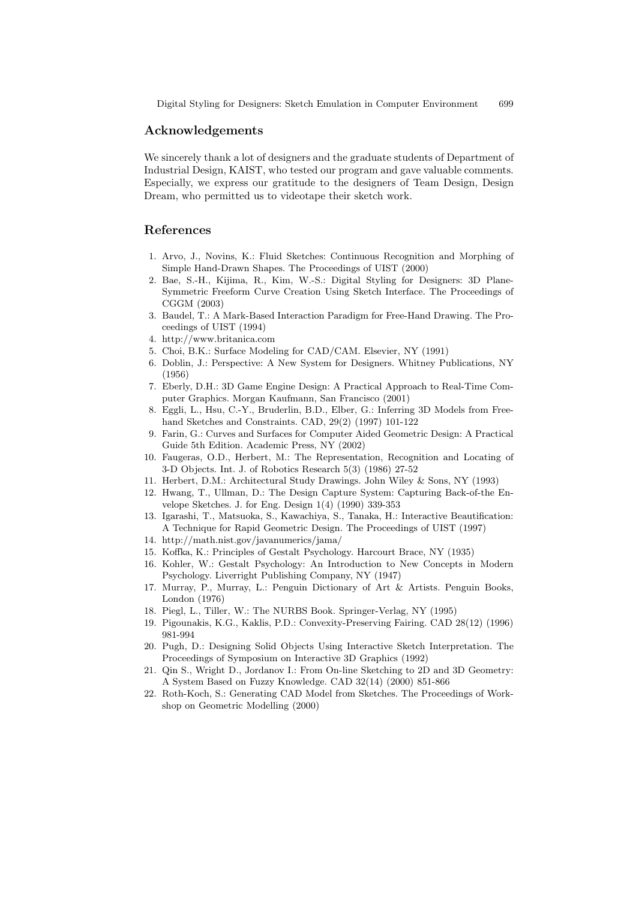# <span id="page-9-0"></span>**Acknowledgements**

We sincerely thank a lot of designers and the graduate students of Department of Industrial Design, KAIST, who tested our program and gave valuable comments. Especially, we express our gratitude to the designers of Team Design, Design Dream, who permitted us to videotape their sketch work.

## <span id="page-9-7"></span>**References**

- 1. Arvo, J., Novins, K.: Fluid Sketches: Continuous Recognition and Morphing of Simple Hand-Drawn Shapes. The Proceedings of UIST (2000)
- <span id="page-9-22"></span>2. Bae, S.-H., Kijima, R., Kim, W.-S.: Digital Styling for Designers: 3D Plane-Symmetric Freeform Curve Creation Using Sketch Interface. The Proceedings of CGGM (2003)
- <span id="page-9-6"></span>3. Baudel, T.: A Mark-Based Interaction Paradigm for Free-Hand Drawing. The Proceedings of UIST (1994)
- <span id="page-9-16"></span><span id="page-9-10"></span>4. http://www.britanica.com
- <span id="page-9-14"></span>5. Choi, B.K.: Surface Modeling for CAD/CAM. Elsevier, NY (1991)
- 6. Doblin, J.: Perspective: A New System for Designers. Whitney Publications, NY (1956)
- <span id="page-9-18"></span>7. Eberly, D.H.: 3D Game Engine Design: A Practical Approach to Real-Time Computer Graphics. Morgan Kaufmann, San Francisco (2001)
- <span id="page-9-2"></span>8. Eggli, L., Hsu, C.-Y., Bruderlin, B.D., Elber, G.: Inferring 3D Models from Freehand Sketches and Constraints. CAD, 29(2) (1997) 101-122
- <span id="page-9-17"></span>9. Farin, G.: Curves and Surfaces for Computer Aided Geometric Design: A Practical Guide 5th Edition. Academic Press, NY (2002)
- <span id="page-9-19"></span>10. Faugeras, O.D., Herbert, M.: The Representation, Recognition and Locating of 3-D Objects. Int. J. of Robotics Research 5(3) (1986) 27-52
- <span id="page-9-11"></span><span id="page-9-3"></span>11. Herbert, D.M.: Architectural Study Drawings. John Wiley & Sons, NY (1993)
- 12. Hwang, T., Ullman, D.: The Design Capture System: Capturing Back-of-the Envelope Sketches. J. for Eng. Design 1(4) (1990) 339-353
- <span id="page-9-1"></span>13. Igarashi, T., Matsuoka, S., Kawachiya, S., Tanaka, H.: Interactive Beautification: A Technique for Rapid Geometric Design. The Proceedings of UIST (1997)
- <span id="page-9-20"></span><span id="page-9-12"></span>14. http://math.nist.gov/javanumerics/jama/
- <span id="page-9-13"></span>15. Koffka, K.: Principles of Gestalt Psychology. Harcourt Brace, NY (1935)
- 16. Kohler, W.: Gestalt Psychology: An Introduction to New Concepts in Modern Psychology. Liverright Publishing Company, NY (1947)
- <span id="page-9-9"></span>17. Murray, P., Murray, L.: Penguin Dictionary of Art & Artists. Penguin Books, London (1976)
- <span id="page-9-21"></span><span id="page-9-15"></span>18. Piegl, L., Tiller, W.: The NURBS Book. Springer-Verlag, NY (1995)
- 19. Pigounakis, K.G., Kaklis, P.D.: Convexity-Preserving Fairing. CAD 28(12) (1996) 981-994
- <span id="page-9-4"></span>20. Pugh, D.: Designing Solid Objects Using Interactive Sketch Interpretation. The Proceedings of Symposium on Interactive 3D Graphics (1992)
- <span id="page-9-5"></span>21. Qin S., Wright D., Jordanov I.: From On-line Sketching to 2D and 3D Geometry: A System Based on Fuzzy Knowledge. CAD 32(14) (2000) 851-866
- <span id="page-9-8"></span>22. Roth-Koch, S.: Generating CAD Model from Sketches. The Proceedings of Workshop on Geometric Modelling (2000)